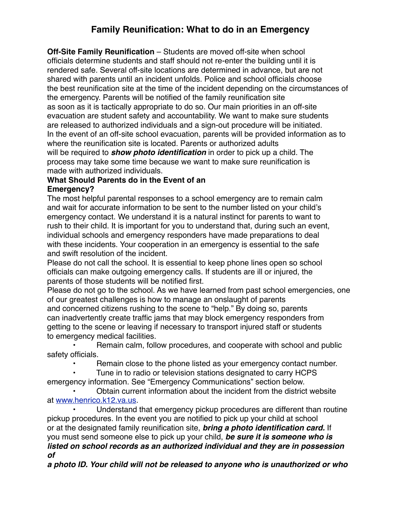## **Family Reunification: What to do in an Emergency**

**Off-Site Family Reunification** – Students are moved off-site when school officials determine students and staff should not re-enter the building until it is rendered safe. Several off-site locations are determined in advance, but are not shared with parents until an incident unfolds. Police and school officials choose the best reunification site at the time of the incident depending on the circumstances of the emergency. Parents will be notified of the family reunification site as soon as it is tactically appropriate to do so. Our main priorities in an off-site evacuation are student safety and accountability. We want to make sure students are released to authorized individuals and a sign-out procedure will be initiated. In the event of an off-site school evacuation, parents will be provided information as to where the reunification site is located. Parents or authorized adults will be required to *show photo identification* in order to pick up a child. The process may take some time because we want to make sure reunification is made with authorized individuals.

## **What Should Parents do in the Event of an Emergency?**

The most helpful parental responses to a school emergency are to remain calm and wait for accurate information to be sent to the number listed on your child's emergency contact. We understand it is a natural instinct for parents to want to rush to their child. It is important for you to understand that, during such an event, individual schools and emergency responders have made preparations to deal with these incidents. Your cooperation in an emergency is essential to the safe and swift resolution of the incident.

Please do not call the school. It is essential to keep phone lines open so school officials can make outgoing emergency calls. If students are ill or injured, the parents of those students will be notified first.

Please do not go to the school. As we have learned from past school emergencies, one of our greatest challenges is how to manage an onslaught of parents and concerned citizens rushing to the scene to "help." By doing so, parents can inadvertently create traffic jams that may block emergency responders from getting to the scene or leaving if necessary to transport injured staff or students to emergency medical facilities.

 • Remain calm, follow procedures, and cooperate with school and public safety officials.

Remain close to the phone listed as your emergency contact number.

 • Tune in to radio or television stations designated to carry HCPS emergency information. See "Emergency Communications" section below.

 • Obtain current information about the incident from the district website at [www.henrico.k12.va.us](http://www.henrico.k12.va.us).

 • Understand that emergency pickup procedures are different than routine pickup procedures. In the event you are notified to pick up your child at school or at the designated family reunification site, *bring a photo identification card.* If you must send someone else to pick up your child, *be sure it is someone who is listed on school records as an authorized individual and they are in possession of*

*a photo ID. Your child will not be released to anyone who is unauthorized or who*